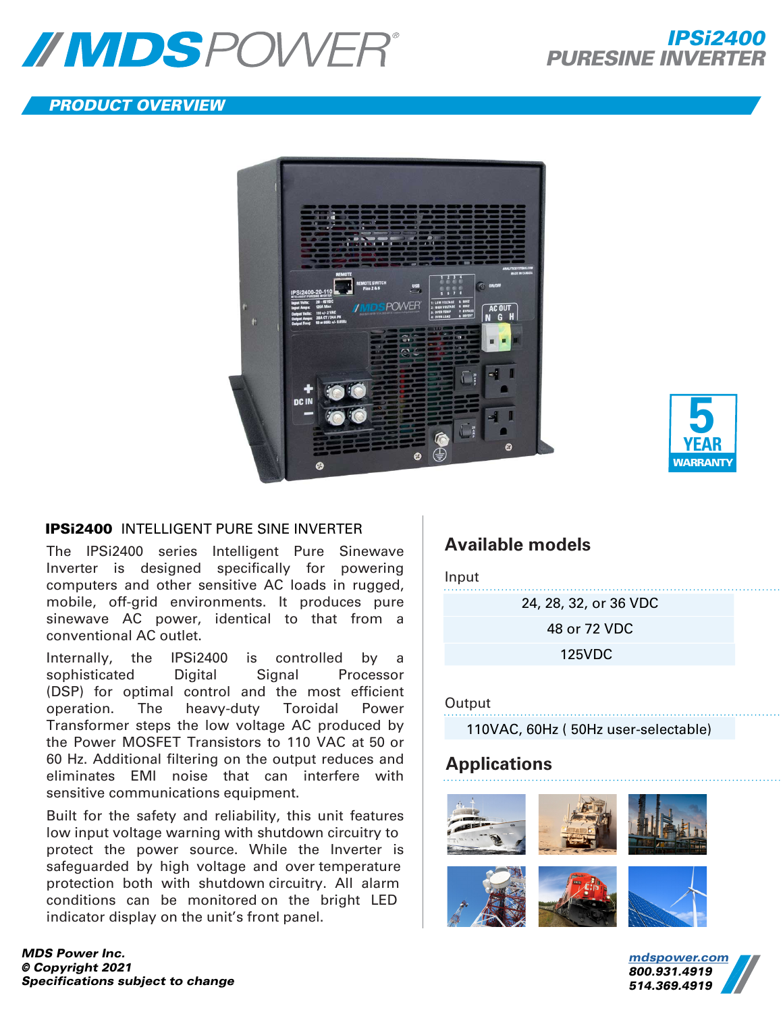

## PRODUCT OVERVIEW





### IPSi2400 INTELLIGENT PURE SINE INVERTER

The IPSi2400 series Intelligent Pure Sinewave Inverter is designed specifically for powering computers and other sensitive AC loads in rugged, mobile, off-grid environments. It produces pure sinewave AC power, identical to that from a conventional AC outlet.

Internally, the IPSi2400 is controlled by a sophisticated Digital Signal Processor (DSP) for optimal control and the most efficient operation. The heavy-duty Toroidal Power Transformer steps the low voltage AC produced by the Power MOSFET Transistors to 110 VAC at 50 or 60 Hz. Additional filtering on the output reduces and eliminates EMI noise that can interfere with sensitive communications equipment.

Built for the safety and reliability, this unit features low input voltage warning with shutdown circuitry to protect the power source. While the Inverter is safeguarded by high voltage and over temperature protection both with shutdown circuitry. All alarm conditions can be monitored on the bright LED indicator display on the unit's front panel.

*MDS Power Inc. © Copyright 20*21 *Specifications subject to change*

# **Available models**

Input

24, 28, 32, or 36 VDC 48 or 72 VDC

125VDC

### **Output**

110VAC, 60Hz ( 50Hz user-selectable)

# **Applications**